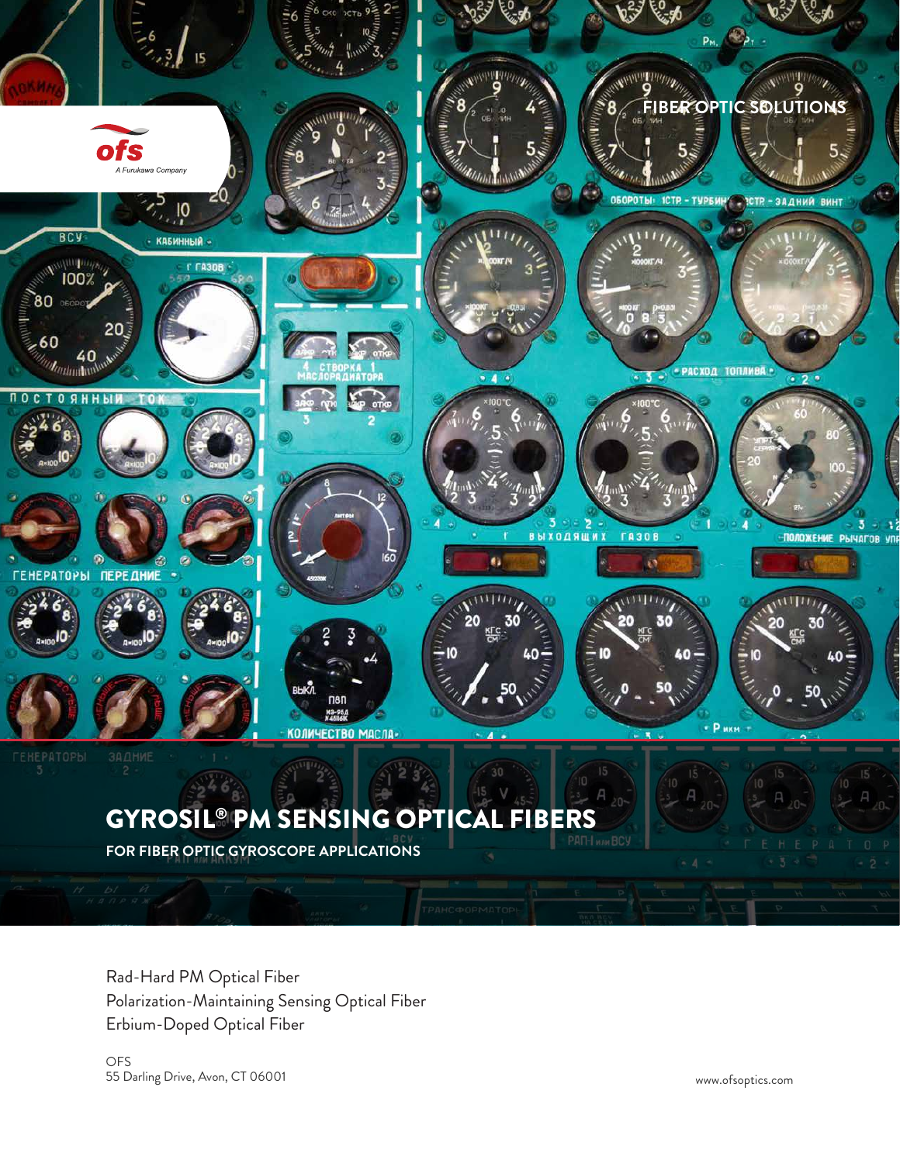

# GYROSIL® PM SENSING OPTICAL FIBERS

**FOR FIBER OPTIC GYROSCOPE APPLICATIONS**

Rad-Hard PM Optical Fiber Polarization-Maintaining Sensing Optical Fiber Erbium-Doped Optical Fiber

OFS 55 Darling Drive, Avon, CT 06001 www.ofsoptics.com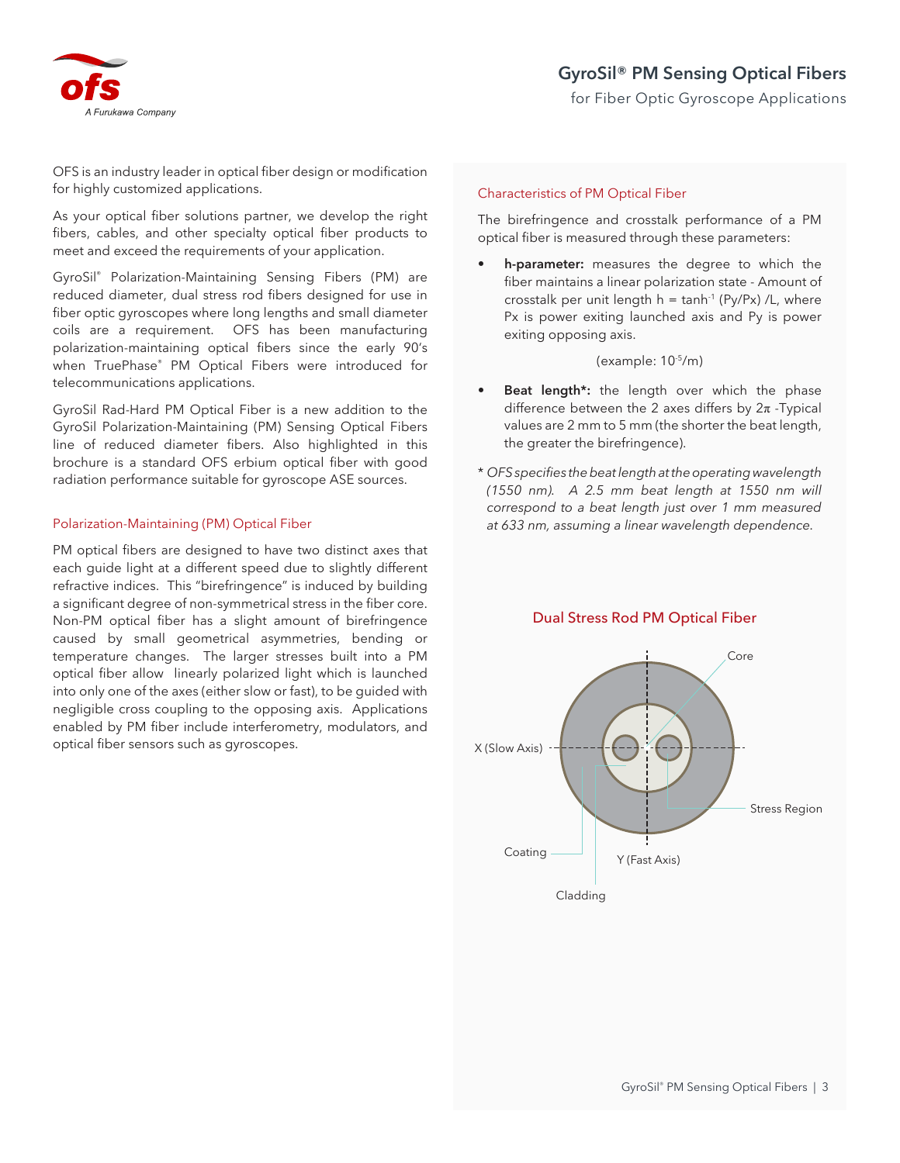

OFS is an industry leader in optical fiber design or modification for highly customized applications.

As your optical fiber solutions partner, we develop the right fibers, cables, and other specialty optical fiber products to meet and exceed the requirements of your application.

GyroSil® Polarization-Maintaining Sensing Fibers (PM) are reduced diameter, dual stress rod fibers designed for use in fiber optic gyroscopes where long lengths and small diameter coils are a requirement. OFS has been manufacturing polarization-maintaining optical fibers since the early 90's when TruePhase® PM Optical Fibers were introduced for telecommunications applications.

GyroSil Rad-Hard PM Optical Fiber is a new addition to the GyroSil Polarization-Maintaining (PM) Sensing Optical Fibers line of reduced diameter fibers. Also highlighted in this brochure is a standard OFS erbium optical fiber with good radiation performance suitable for gyroscope ASE sources.

## Polarization-Maintaining (PM) Optical Fiber

PM optical fibers are designed to have two distinct axes that each guide light at a different speed due to slightly different refractive indices. This "birefringence" is induced by building a significant degree of non-symmetrical stress in the fiber core. Non-PM optical fiber has a slight amount of birefringence caused by small geometrical asymmetries, bending or temperature changes. The larger stresses built into a PM optical fiber allow linearly polarized light which is launched into only one of the axes (either slow or fast), to be guided with negligible cross coupling to the opposing axis. Applications enabled by PM fiber include interferometry, modulators, and optical fiber sensors such as gyroscopes.

## Characteristics of PM Optical Fiber

The birefringence and crosstalk performance of a PM optical fiber is measured through these parameters:

**• h-parameter:** measures the degree to which the fiber maintains a linear polarization state - Amount of crosstalk per unit length  $h = \tanh^{-1}(Py/Px) / L$ , where Px is power exiting launched axis and Py is power exiting opposing axis.

(example: 10-5/m)

- **Beat length\*:** the length over which the phase difference between the 2 axes differs by  $2\pi$  -Typical values are 2 mm to 5 mm (the shorter the beat length, the greater the birefringence).
- \* *OFS specifies the beat length at the operating wavelength (1550 nm). A 2.5 mm beat length at 1550 nm will correspond to a beat length just over 1 mm measured at 633 nm, assuming a linear wavelength dependence.*



## Dual Stress Rod PM Optical Fiber

Cladding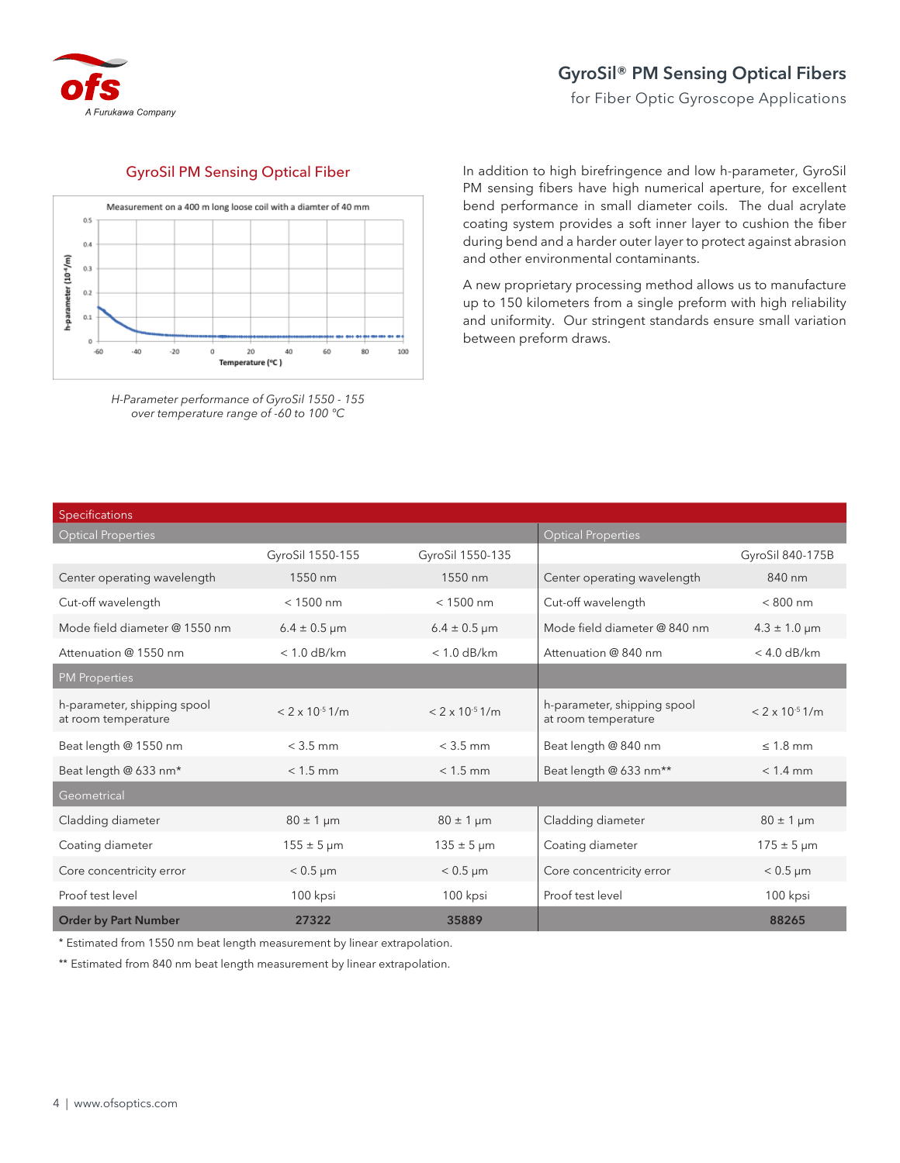

## **GyroSil® PM Sensing Optical Fibers**

for Fiber Optic Gyroscope Applications

## GyroSil PM Sensing Optical Fiber



*H-Parameter performance of GyroSil 1550 - 155 over temperature range of -60 to 100 °C*

In addition to high birefringence and low h-parameter, GyroSil PM sensing fibers have high numerical aperture, for excellent bend performance in small diameter coils. The dual acrylate coating system provides a soft inner layer to cushion the fiber during bend and a harder outer layer to protect against abrasion and other environmental contaminants.

A new proprietary processing method allows us to manufacture up to 150 kilometers from a single preform with high reliability and uniformity. Our stringent standards ensure small variation between preform draws.

| Specifications                                     |                          |                          |                                                    |                               |
|----------------------------------------------------|--------------------------|--------------------------|----------------------------------------------------|-------------------------------|
| Optical Properties                                 |                          |                          | <b>Optical Properties</b>                          |                               |
|                                                    | GyroSil 1550-155         | GyroSil 1550-135         |                                                    | GyroSil 840-175B              |
| Center operating wavelength                        | 1550 nm                  | 1550 nm                  | Center operating wavelength                        | 840 nm                        |
| Cut-off wavelength                                 | $< 1500$ nm              | $< 1500$ nm              | Cut-off wavelength                                 | $< 800$ nm                    |
| Mode field diameter @ 1550 nm                      | $6.4 \pm 0.5 \,\mu m$    | $6.4 \pm 0.5 \,\mu m$    | Mode field diameter @ 840 nm                       | $4.3 \pm 1.0 \,\mu m$         |
| Attenuation @ 1550 nm                              | $< 1.0$ dB/km            | $< 1.0$ dB/km            | Attenuation @ 840 nm                               | $<$ 4.0 dB/km                 |
| <b>PM Properties</b>                               |                          |                          |                                                    |                               |
| h-parameter, shipping spool<br>at room temperature | $< 2 \times 10^{-5}$ 1/m | $< 2 \times 10^{-5}$ 1/m | h-parameter, shipping spool<br>at room temperature | $< 2 \times 10^{-5}$ 1/m      |
| Beat length @ 1550 nm                              | $<$ 3.5 mm               | $<$ 3.5 mm               | Beat length @ 840 nm                               | $\leq 1.8$ mm                 |
| Beat length @ 633 nm*                              | $< 1.5$ mm               | $< 1.5$ mm               | Beat length @ 633 nm**                             | $< 1.4$ mm                    |
| Geometrical                                        |                          |                          |                                                    |                               |
| Cladding diameter                                  | $80 \pm 1 \,\mu m$       | $80 \pm 1 \,\mu m$       | Cladding diameter                                  | $80 \pm 1 \,\mathrm{\upmu m}$ |
| Coating diameter                                   | $155 \pm 5 \,\mu m$      | $135 \pm 5 \,\mu m$      | Coating diameter                                   | $175 \pm 5 \,\mu m$           |
| Core concentricity error                           | $< 0.5 \mu m$            | $< 0.5 \mu m$            | Core concentricity error                           | $< 0.5 \mu m$                 |
| Proof test level                                   | 100 kpsi                 | 100 kpsi                 | Proof test level                                   | 100 kpsi                      |
| <b>Order by Part Number</b>                        | 27322                    | 35889                    |                                                    | 88265                         |

\* Estimated from 1550 nm beat length measurement by linear extrapolation.

\*\* Estimated from 840 nm beat length measurement by linear extrapolation.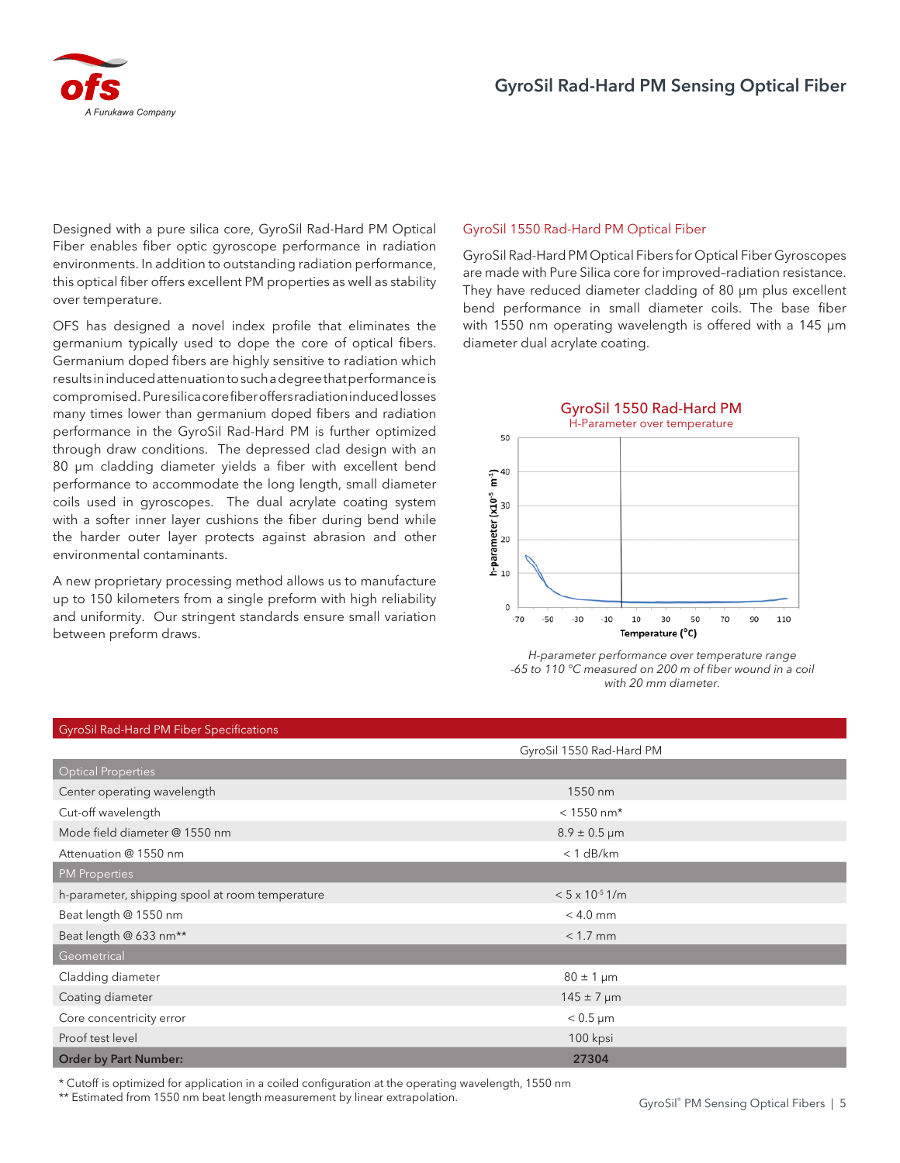

Designed with a pure silica core, GyroSil Rad-Hard PM Optical Fiber enables fiber optic gyroscope performance in radiation environments. In addition to outstanding radiation performance, this optical fiber offers excellent PM properties as well as stability over temperature.

OFS has designed a novel index profile that eliminates the germanium typically used to dope the core of optical fibers. Germanium doped fibers are highly sensitive to radiation which results in induced attenuation to such a degree that performance is compromised. Pure silica core fiber offers radiation induced losses many times lower than germanium doped fibers and radiation performance in the GyroSil Rad-Hard PM is further optimized through draw conditions. The depressed clad design with an 80 µm cladding diameter yields a fiber with excellent bend performance to accommodate the long length, small diameter coils used in gyroscopes. The dual acrylate coating system with a softer inner layer cushions the fiber during bend while the harder outer layer protects against abrasion and other environmental contaminants.

A new proprietary processing method allows us to manufacture up to 150 kilometers from a single preform with high reliability and uniformity. Our stringent standards ensure small variation between preform draws.

## GyroSil 1550 Rad-Hard PM Optical Fiber

GyroSil Rad-Hard PM Optical Fibers for Optical Fiber Gyroscopes are made with Pure Silica core for improved–radiation resistance. They have reduced diameter cladding of 80 μm plus excellent bend performance in small diameter coils. The base fiber with 1550 nm operating wavelength is offered with a 145 μm diameter dual acrylate coating.



*H-parameter performance over temperature range -65 to 110 °C measured on 200 m of fiber wound in a coil with 20 mm diameter.*

| <b>GyroSil Rad-Hard PM Fiber Specifications</b> |                          |  |  |  |
|-------------------------------------------------|--------------------------|--|--|--|
|                                                 | GyroSil 1550 Rad-Hard PM |  |  |  |
| <b>Optical Properties</b>                       |                          |  |  |  |
| Center operating wavelength                     | 1550 nm                  |  |  |  |
| Cut-off wavelength                              | $< 1550$ nm*             |  |  |  |
| Mode field diameter @ 1550 nm                   | $8.9 \pm 0.5 \,\mu m$    |  |  |  |
| Attenuation @ 1550 nm                           | $< 1$ dB/km              |  |  |  |
| <b>PM Properties</b>                            |                          |  |  |  |
| h-parameter, shipping spool at room temperature | $< 5 \times 10^{-5}$ 1/m |  |  |  |
| Beat length @ 1550 nm                           | $< 4.0$ mm               |  |  |  |
| Beat length @ 633 nm**                          | $< 1.7$ mm               |  |  |  |
| Geometrical                                     |                          |  |  |  |
| Cladding diameter                               | $80 \pm 1 \,\mu m$       |  |  |  |
| Coating diameter                                | $145 \pm 7 \,\mu m$      |  |  |  |
| Core concentricity error                        | $< 0.5 \mu m$            |  |  |  |
| Proof test level                                | 100 kpsi                 |  |  |  |
| <b>Order by Part Number:</b>                    | 27304                    |  |  |  |

\* Cutoff is optimized for application in a coiled configuration at the operating wavelength, 1550 nm

\*\* Estimated from 1550 nm beat length measurement by linear extrapolation.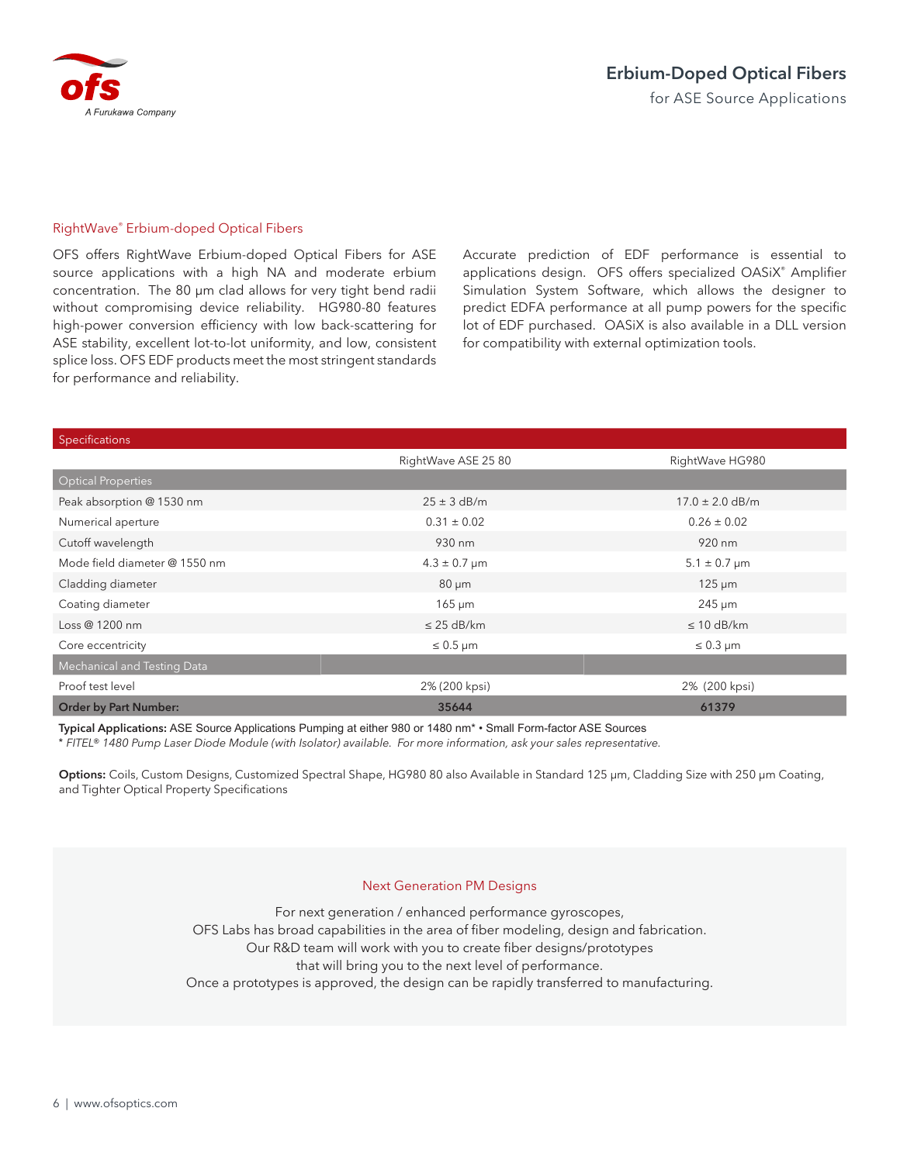

## RightWave® Erbium-doped Optical Fibers

OFS offers RightWave Erbium-doped Optical Fibers for ASE source applications with a high NA and moderate erbium concentration. The 80 µm clad allows for very tight bend radii without compromising device reliability. HG980-80 features high-power conversion efficiency with low back-scattering for ASE stability, excellent lot-to-lot uniformity, and low, consistent splice loss. OFS EDF products meet the most stringent standards for performance and reliability.

Accurate prediction of EDF performance is essential to applications design. OFS offers specialized OASiX® Amplifier Simulation System Software, which allows the designer to predict EDFA performance at all pump powers for the specific lot of EDF purchased. OASiX is also available in a DLL version for compatibility with external optimization tools.

| Specifications                |                       |                       |
|-------------------------------|-----------------------|-----------------------|
|                               | RightWave ASE 25 80   | RightWave HG980       |
| <b>Optical Properties</b>     |                       |                       |
| Peak absorption @ 1530 nm     | $25 \pm 3$ dB/m       | $17.0 \pm 2.0$ dB/m   |
| Numerical aperture            | $0.31 \pm 0.02$       | $0.26 \pm 0.02$       |
| Cutoff wavelength             | 930 nm                | 920 nm                |
| Mode field diameter @ 1550 nm | $4.3 \pm 0.7 \,\mu m$ | $5.1 \pm 0.7 \,\mu m$ |
| Cladding diameter             | $80 \mu m$            | $125 \mu m$           |
| Coating diameter              | $165 \mu m$           | $245 \mu m$           |
| Loss @ 1200 nm                | $\leq$ 25 dB/km       | $\leq 10$ dB/km       |
| Core eccentricity             | $\leq 0.5$ µm         | $\leq 0.3$ µm         |
| Mechanical and Testing Data   |                       |                       |
| Proof test level              | 2% (200 kpsi)         | 2% (200 kpsi)         |
| <b>Order by Part Number:</b>  | 35644                 | 61379                 |

**Typical Applications:** ASE Source Applications Pumping at either 980 or 1480 nm\* • Small Form-factor ASE Sources

\* *FITEL® 1480 Pump Laser Diode Module (with Isolator) available. For more information, ask your sales representative.*

**Options:** Coils, Custom Designs, Customized Spectral Shape, HG980 80 also Available in Standard 125 µm, Cladding Size with 250 µm Coating, and Tighter Optical Property Specifications

## Next Generation PM Designs

For next generation / enhanced performance gyroscopes, OFS Labs has broad capabilities in the area of fiber modeling, design and fabrication. Our R&D team will work with you to create fiber designs/prototypes that will bring you to the next level of performance. Once a prototypes is approved, the design can be rapidly transferred to manufacturing.